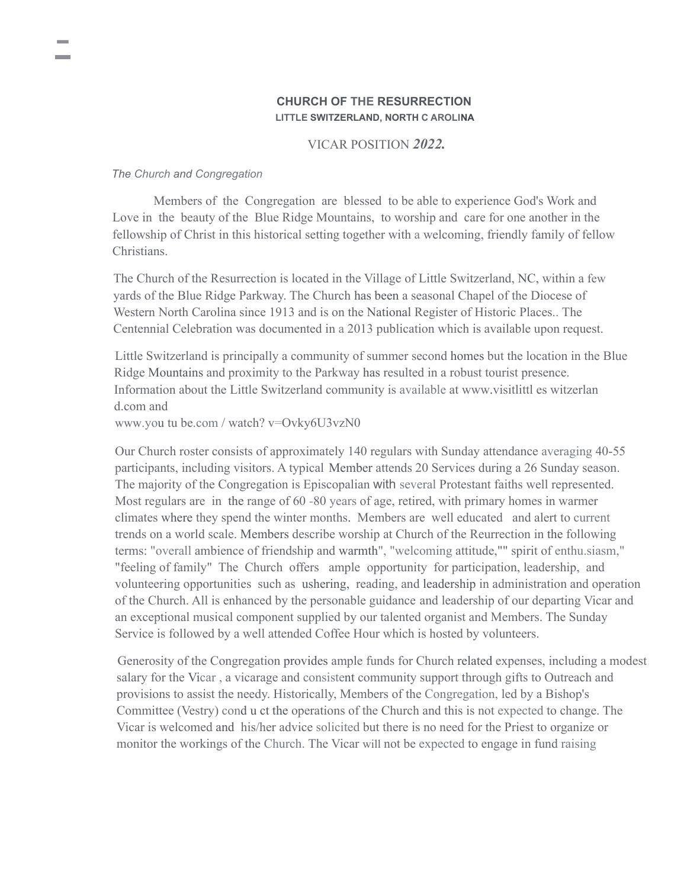# **CHURCH OF THE RESURRECTION LITTLE SWITZERLAND, NORTH C AROLINA**

## VICAR POSITION *2022.*

### *The Church and Congregation*

Members of the Congregation are blessed to be able to experience God's Work and Love in the beauty of the Blue Ridge Mountains, to worship and care for one another in the fellowship of Christ in this historical setting together with a welcoming, friendly family of fellow Christians.

The Church of the Resurrection is located in the Village of Little Switzerland, NC, within a few yards of the Blue Ridge Parkway. The Church has been a seasonal Chapel of the Diocese of Western North Carolina since 1913 and is on the National Register of Historic Places.. The Centennial Celebration was documented in a 2013 publication which is available upon request.

Little Switzerland is principally a community of summer second homes but the location in the Blue Ridge Mountains and proximity to the Parkway has resulted in a robust tourist presence. Information about the Little Switzerland community is available at www.visitlittl es witzerlan d.com and

www.you tu be.com / watch? v=Ovky6U3vzN0

Our Church roster consists of approximately 140 regulars with Sunday attendance averaging 40-55 participants, including visitors. A typical Member attends 20 Services during a 26 Sunday season. The majority of the Congregation is Episcopalian with several Protestant faiths well represented. Most regulars are in the range of 60 -80 years of age, retired, with primary homes in warmer climates where they spend the winter months. Members are well educated and alert to current trends on a world scale. Members describe worship at Church of the Reurrection in the following terms: "overall ambience of friendship and warmth", "welcoming attitude,"" spirit of enthu.siasm," "feeling of family" The Church offers ample opportunity for participation, leadership, and volunteering opportunities such as ushering, reading, and leadership in administration and operation of the Church. All is enhanced by the personable guidance and leadership of our departing Vicar and an exceptional musical component supplied by our talented organist and Members. The Sunday Service is followed by a well attended Coffee Hour which is hosted by volunteers.

Generosity of the Congregation provides ample funds for Church related expenses, including a modest salary for the Vicar , a vicarage and consistent community support through gifts to Outreach and provisions to assist the needy. Historically, Members of the Congregation, led by a Bishop's Committee (Vestry) cond u ct the operations of the Church and this is not expected to change. The Vicar is welcomed and his/her advice solicited but there is no need for the Priest to organize or monitor the workings of the Church. The Vicar will not be expected to engage in fund raising